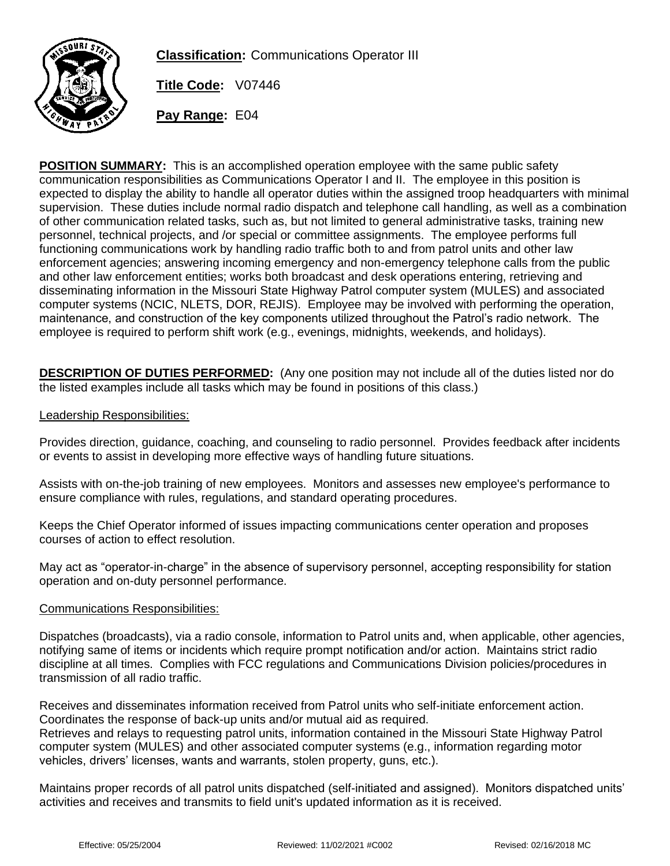

**Classification:** Communications Operator III

**Title Code:** V07446

**Pay Range:** E04

**POSITION SUMMARY:** This is an accomplished operation employee with the same public safety communication responsibilities as Communications Operator I and II. The employee in this position is expected to display the ability to handle all operator duties within the assigned troop headquarters with minimal supervision. These duties include normal radio dispatch and telephone call handling, as well as a combination of other communication related tasks, such as, but not limited to general administrative tasks, training new personnel, technical projects, and /or special or committee assignments. The employee performs full functioning communications work by handling radio traffic both to and from patrol units and other law enforcement agencies; answering incoming emergency and non-emergency telephone calls from the public and other law enforcement entities; works both broadcast and desk operations entering, retrieving and disseminating information in the Missouri State Highway Patrol computer system (MULES) and associated computer systems (NCIC, NLETS, DOR, REJIS). Employee may be involved with performing the operation, maintenance, and construction of the key components utilized throughout the Patrol's radio network. The employee is required to perform shift work (e.g., evenings, midnights, weekends, and holidays).

**DESCRIPTION OF DUTIES PERFORMED:** (Any one position may not include all of the duties listed nor do the listed examples include all tasks which may be found in positions of this class.)

#### Leadership Responsibilities:

Provides direction, guidance, coaching, and counseling to radio personnel. Provides feedback after incidents or events to assist in developing more effective ways of handling future situations.

Assists with on-the-job training of new employees. Monitors and assesses new employee's performance to ensure compliance with rules, regulations, and standard operating procedures.

Keeps the Chief Operator informed of issues impacting communications center operation and proposes courses of action to effect resolution.

May act as "operator-in-charge" in the absence of supervisory personnel, accepting responsibility for station operation and on-duty personnel performance.

#### Communications Responsibilities:

Dispatches (broadcasts), via a radio console, information to Patrol units and, when applicable, other agencies, notifying same of items or incidents which require prompt notification and/or action. Maintains strict radio discipline at all times. Complies with FCC regulations and Communications Division policies/procedures in transmission of all radio traffic.

Receives and disseminates information received from Patrol units who self-initiate enforcement action. Coordinates the response of back-up units and/or mutual aid as required. Retrieves and relays to requesting patrol units, information contained in the Missouri State Highway Patrol computer system (MULES) and other associated computer systems (e.g., information regarding motor vehicles, drivers' licenses, wants and warrants, stolen property, guns, etc.).

Maintains proper records of all patrol units dispatched (self-initiated and assigned). Monitors dispatched units' activities and receives and transmits to field unit's updated information as it is received.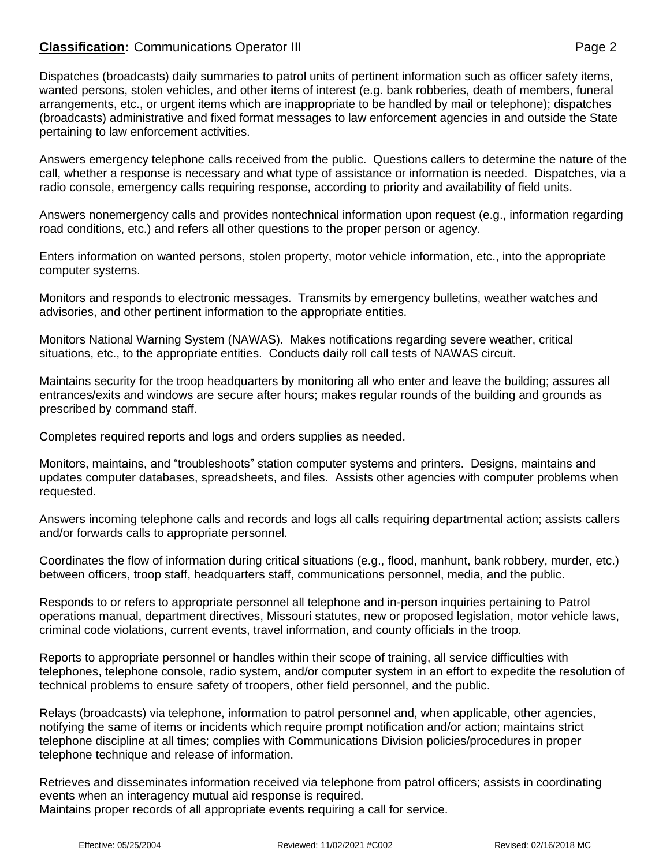## **Classification:** Communications Operator III **Classification:** Page 2

Dispatches (broadcasts) daily summaries to patrol units of pertinent information such as officer safety items, wanted persons, stolen vehicles, and other items of interest (e.g. bank robberies, death of members, funeral arrangements, etc., or urgent items which are inappropriate to be handled by mail or telephone); dispatches (broadcasts) administrative and fixed format messages to law enforcement agencies in and outside the State pertaining to law enforcement activities.

Answers emergency telephone calls received from the public. Questions callers to determine the nature of the call, whether a response is necessary and what type of assistance or information is needed. Dispatches, via a radio console, emergency calls requiring response, according to priority and availability of field units.

Answers nonemergency calls and provides nontechnical information upon request (e.g., information regarding road conditions, etc.) and refers all other questions to the proper person or agency.

Enters information on wanted persons, stolen property, motor vehicle information, etc., into the appropriate computer systems.

Monitors and responds to electronic messages. Transmits by emergency bulletins, weather watches and advisories, and other pertinent information to the appropriate entities.

Monitors National Warning System (NAWAS). Makes notifications regarding severe weather, critical situations, etc., to the appropriate entities. Conducts daily roll call tests of NAWAS circuit.

Maintains security for the troop headquarters by monitoring all who enter and leave the building; assures all entrances/exits and windows are secure after hours; makes regular rounds of the building and grounds as prescribed by command staff.

Completes required reports and logs and orders supplies as needed.

Monitors, maintains, and "troubleshoots" station computer systems and printers. Designs, maintains and updates computer databases, spreadsheets, and files. Assists other agencies with computer problems when requested.

Answers incoming telephone calls and records and logs all calls requiring departmental action; assists callers and/or forwards calls to appropriate personnel.

Coordinates the flow of information during critical situations (e.g., flood, manhunt, bank robbery, murder, etc.) between officers, troop staff, headquarters staff, communications personnel, media, and the public.

Responds to or refers to appropriate personnel all telephone and in-person inquiries pertaining to Patrol operations manual, department directives, Missouri statutes, new or proposed legislation, motor vehicle laws, criminal code violations, current events, travel information, and county officials in the troop.

Reports to appropriate personnel or handles within their scope of training, all service difficulties with telephones, telephone console, radio system, and/or computer system in an effort to expedite the resolution of technical problems to ensure safety of troopers, other field personnel, and the public.

Relays (broadcasts) via telephone, information to patrol personnel and, when applicable, other agencies, notifying the same of items or incidents which require prompt notification and/or action; maintains strict telephone discipline at all times; complies with Communications Division policies/procedures in proper telephone technique and release of information.

Retrieves and disseminates information received via telephone from patrol officers; assists in coordinating events when an interagency mutual aid response is required. Maintains proper records of all appropriate events requiring a call for service.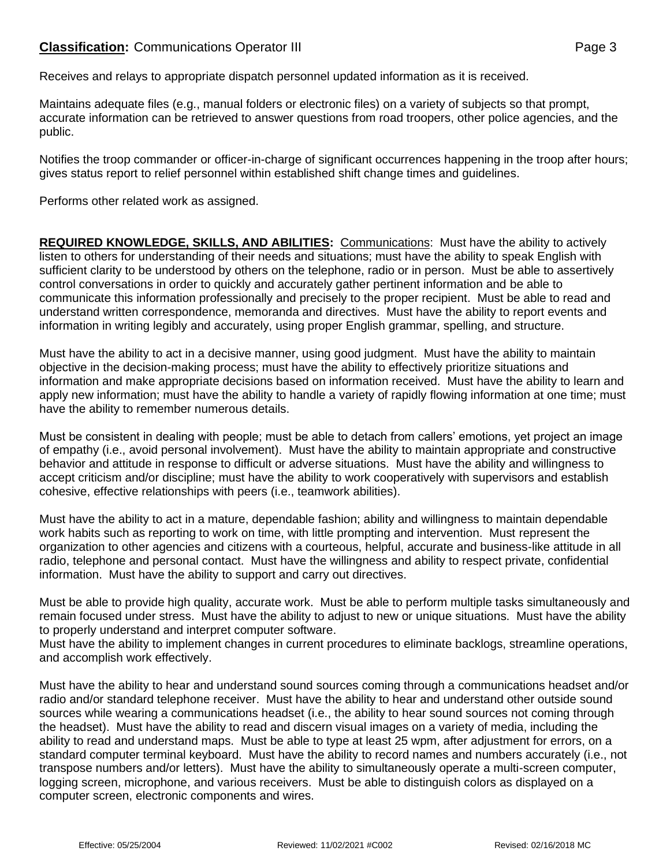Receives and relays to appropriate dispatch personnel updated information as it is received.

Maintains adequate files (e.g., manual folders or electronic files) on a variety of subjects so that prompt, accurate information can be retrieved to answer questions from road troopers, other police agencies, and the public.

Notifies the troop commander or officer-in-charge of significant occurrences happening in the troop after hours; gives status report to relief personnel within established shift change times and guidelines.

Performs other related work as assigned.

**REQUIRED KNOWLEDGE, SKILLS, AND ABILITIES:** Communications: Must have the ability to actively listen to others for understanding of their needs and situations; must have the ability to speak English with sufficient clarity to be understood by others on the telephone, radio or in person. Must be able to assertively control conversations in order to quickly and accurately gather pertinent information and be able to communicate this information professionally and precisely to the proper recipient. Must be able to read and understand written correspondence, memoranda and directives. Must have the ability to report events and information in writing legibly and accurately, using proper English grammar, spelling, and structure.

Must have the ability to act in a decisive manner, using good judgment. Must have the ability to maintain objective in the decision-making process; must have the ability to effectively prioritize situations and information and make appropriate decisions based on information received. Must have the ability to learn and apply new information; must have the ability to handle a variety of rapidly flowing information at one time; must have the ability to remember numerous details.

Must be consistent in dealing with people; must be able to detach from callers' emotions, yet project an image of empathy (i.e., avoid personal involvement). Must have the ability to maintain appropriate and constructive behavior and attitude in response to difficult or adverse situations. Must have the ability and willingness to accept criticism and/or discipline; must have the ability to work cooperatively with supervisors and establish cohesive, effective relationships with peers (i.e., teamwork abilities).

Must have the ability to act in a mature, dependable fashion; ability and willingness to maintain dependable work habits such as reporting to work on time, with little prompting and intervention. Must represent the organization to other agencies and citizens with a courteous, helpful, accurate and business-like attitude in all radio, telephone and personal contact. Must have the willingness and ability to respect private, confidential information. Must have the ability to support and carry out directives.

Must be able to provide high quality, accurate work. Must be able to perform multiple tasks simultaneously and remain focused under stress. Must have the ability to adjust to new or unique situations. Must have the ability to properly understand and interpret computer software.

Must have the ability to implement changes in current procedures to eliminate backlogs, streamline operations, and accomplish work effectively.

Must have the ability to hear and understand sound sources coming through a communications headset and/or radio and/or standard telephone receiver. Must have the ability to hear and understand other outside sound sources while wearing a communications headset (i.e., the ability to hear sound sources not coming through the headset). Must have the ability to read and discern visual images on a variety of media, including the ability to read and understand maps. Must be able to type at least 25 wpm, after adjustment for errors, on a standard computer terminal keyboard. Must have the ability to record names and numbers accurately (i.e., not transpose numbers and/or letters). Must have the ability to simultaneously operate a multi-screen computer, logging screen, microphone, and various receivers. Must be able to distinguish colors as displayed on a computer screen, electronic components and wires.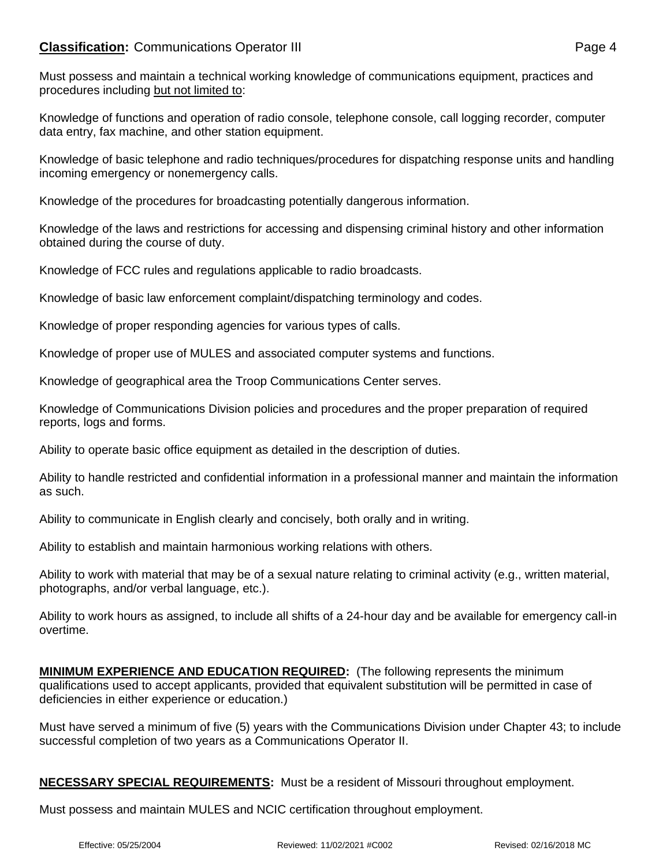# **Classification:** Communications Operator III **Classification:** Page 4

Knowledge of functions and operation of radio console, telephone console, call logging recorder, computer data entry, fax machine, and other station equipment.

Knowledge of basic telephone and radio techniques/procedures for dispatching response units and handling incoming emergency or nonemergency calls.

Knowledge of the procedures for broadcasting potentially dangerous information.

Knowledge of the laws and restrictions for accessing and dispensing criminal history and other information obtained during the course of duty.

Knowledge of FCC rules and regulations applicable to radio broadcasts.

Knowledge of basic law enforcement complaint/dispatching terminology and codes.

Knowledge of proper responding agencies for various types of calls.

Knowledge of proper use of MULES and associated computer systems and functions.

Knowledge of geographical area the Troop Communications Center serves.

Knowledge of Communications Division policies and procedures and the proper preparation of required reports, logs and forms.

Ability to operate basic office equipment as detailed in the description of duties.

Ability to handle restricted and confidential information in a professional manner and maintain the information as such.

Ability to communicate in English clearly and concisely, both orally and in writing.

Ability to establish and maintain harmonious working relations with others.

Ability to work with material that may be of a sexual nature relating to criminal activity (e.g., written material, photographs, and/or verbal language, etc.).

Ability to work hours as assigned, to include all shifts of a 24-hour day and be available for emergency call-in overtime.

**MINIMUM EXPERIENCE AND EDUCATION REQUIRED:** (The following represents the minimum qualifications used to accept applicants, provided that equivalent substitution will be permitted in case of deficiencies in either experience or education.)

Must have served a minimum of five (5) years with the Communications Division under Chapter 43; to include successful completion of two years as a Communications Operator II.

**NECESSARY SPECIAL REQUIREMENTS:** Must be a resident of Missouri throughout employment.

Must possess and maintain MULES and NCIC certification throughout employment.